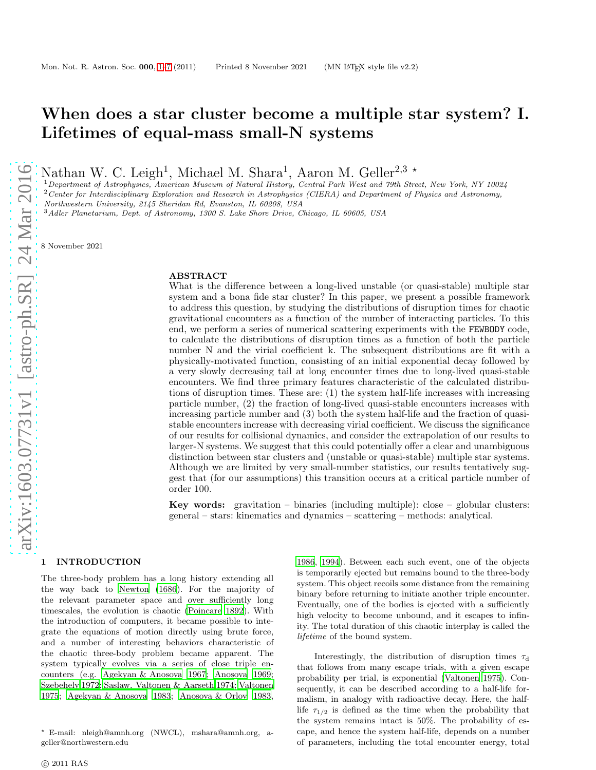# When does a star cluster become a multiple star system? I. Lifetimes of equal-mass small-N systems

Nathan W. C. Leigh<sup>1</sup>, Michael M. Shara<sup>1</sup>, Aaron M. Geller<sup>2,3</sup>  $\star$ 

<sup>1</sup>Department of Astrophysics, American Museum of Natural History, Central Park West and 79th Street, New York, NY 10024  $2$  Center for Interdisciplinary Exploration and Research in Astrophysics (CIERA) and Department of Physics and Astronomy, Northwestern University, 2145 Sheridan Rd, Evanston, IL 60208, USA

<sup>3</sup> Adler Planetarium, Dept. of Astronomy, 1300 S. Lake Shore Drive, Chicago, IL 60605, USA

8 November 2021

## ABSTRACT

What is the difference between a long-lived unstable (or quasi-stable) multiple star system and a bona fide star cluster? In this paper, we present a possible framework to address this question, by studying the distributions of disruption times for chaotic gravitational encounters as a function of the number of interacting particles. To this end, we perform a series of numerical scattering experiments with the FEWBODY code, to calculate the distributions of disruption times as a function of both the particle number N and the virial coefficient k. The subsequent distributions are fit with a physically-motivated function, consisting of an initial exponential decay followed by a very slowly decreasing tail at long encounter times due to long-lived quasi-stable encounters. We find three primary features characteristic of the calculated distributions of disruption times. These are:  $(1)$  the system half-life increases with increasing particle number, (2) the fraction of long-lived quasi-stable encounters increases with increasing particle number and (3) both the system half-life and the fraction of quasistable encounters increase with decreasing virial coefficient. We discuss the significance of our results for collisional dynamics, and consider the extrapolation of our results to larger-N systems. We suggest that this could potentially offer a clear and unambiguous distinction between star clusters and (unstable or quasi-stable) multiple star systems. Although we are limited by very small-number statistics, our results tentatively suggest that (for our assumptions) this transition occurs at a critical particle number of order 100.

**Key words:** gravitation – binaries (including multiple): close – globular clusters: general – stars: kinematics and dynamics – scattering – methods: analytical.

#### <span id="page-0-0"></span>1 INTRODUCTION

The three-body problem has a long history extending all the way back to [Newton \(1686](#page-6-0)). For the majority of the relevant parameter space and over sufficiently long timescales, the evolution is chaotic [\(Poincare 1892](#page-6-1)). With the introduction of computers, it became possible to integrate the equations of motion directly using brute force, and a number of interesting behaviors characteristic of the chaotic three-body problem became apparent. The system typically evolves via a series of close triple encounters (e.g. [Agekyan & Anosova 1967;](#page-6-2) [Anosova 1969;](#page-6-3) [Szebehely 1972](#page-6-4); [Saslaw, Valtonen & Aarseth 1974](#page-6-5); [Valtonen](#page-6-6) [1975](#page-6-6); [Agekyan & Anosova 1983;](#page-6-7) [Anosova & Orlov 1983,](#page-6-8) [1986](#page-6-9), [1994\)](#page-6-10). Between each such event, one of the objects is temporarily ejected but remains bound to the three-body system. This object recoils some distance from the remaining binary before returning to initiate another triple encounter. Eventually, one of the bodies is ejected with a sufficiently high velocity to become unbound, and it escapes to infinity. The total duration of this chaotic interplay is called the lifetime of the bound system.

Interestingly, the distribution of disruption times  $\tau_d$ that follows from many escape trials, with a given escape probability per trial, is exponential [\(Valtonen 1975\)](#page-6-6). Consequently, it can be described according to a half-life formalism, in analogy with radioactive decay. Here, the halflife  $\tau_{1/2}$  is defined as the time when the probability that the system remains intact is 50%. The probability of escape, and hence the system half-life, depends on a number of parameters, including the total encounter energy, total

<sup>⋆</sup> E-mail: nleigh@amnh.org (NWCL), mshara@amnh.org, ageller@northwestern.edu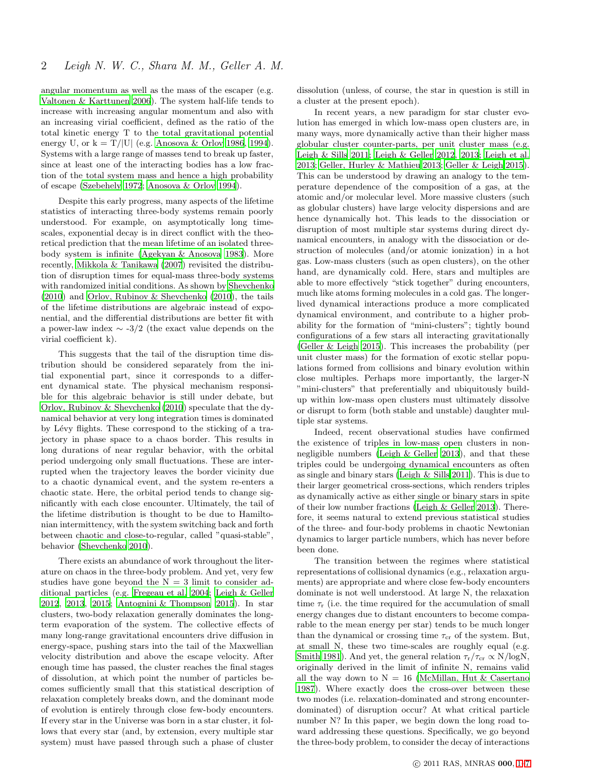angular momentum as well as the mass of the escaper (e.g. [Valtonen & Karttunen 2006](#page-6-11)). The system half-life tends to increase with increasing angular momentum and also with an increasing virial coefficient, defined as the ratio of the total kinetic energy T to the total gravitational potential energy U, or  $k = T/|U|$  (e.g. [Anosova & Orlov 1986](#page-6-9), [1994](#page-6-10)). Systems with a large range of masses tend to break up faster, since at least one of the interacting bodies has a low fraction of the total system mass and hence a high probability of escape [\(Szebehely 1972](#page-6-4); [Anosova & Orlov 1994\)](#page-6-10).

Despite this early progress, many aspects of the lifetime statistics of interacting three-body systems remain poorly understood. For example, on asymptotically long timescales, exponential decay is in direct conflict with the theoretical prediction that the mean lifetime of an isolated threebody system is infinite [\(Agekyan & Anosova 1983\)](#page-6-7). More recently, [Mikkola & Tanikawa \(2007](#page-6-12)) revisited the distribution of disruption times for equal-mass three-body systems with randomized initial conditions. As shown by [Shevchenko](#page-6-13) [\(2010](#page-6-13)) and [Orlov, Rubinov & Shevchenko \(2010\)](#page-6-14), the tails of the lifetime distributions are algebraic instead of exponential, and the differential distributions are better fit with a power-law index ∼ -3/2 (the exact value depends on the virial coefficient k).

This suggests that the tail of the disruption time distribution should be considered separately from the initial exponential part, since it corresponds to a different dynamical state. The physical mechanism responsible for this algebraic behavior is still under debate, but [Orlov, Rubinov & Shevchenko \(2010](#page-6-14)) speculate that the dynamical behavior at very long integration times is dominated by Lévy flights. These correspond to the sticking of a trajectory in phase space to a chaos border. This results in long durations of near regular behavior, with the orbital period undergoing only small fluctuations. These are interrupted when the trajectory leaves the border vicinity due to a chaotic dynamical event, and the system re-enters a chaotic state. Here, the orbital period tends to change significantly with each close encounter. Ultimately, the tail of the lifetime distribution is thought to be due to Hamiltonian intermittency, with the system switching back and forth between chaotic and close-to-regular, called "quasi-stable", behavior [\(Shevchenko 2010](#page-6-13)).

There exists an abundance of work throughout the literature on chaos in the three-body problem. And yet, very few studies have gone beyond the  $N = 3$  limit to consider additional particles (e.g. [Fregeau et al. 2004;](#page-6-15) [Leigh & Geller](#page-6-16) [2012](#page-6-16), [2013,](#page-6-17) [2015](#page-6-18); [Antognini & Thompson 2015](#page-6-19)). In star clusters, two-body relaxation generally dominates the longterm evaporation of the system. The collective effects of many long-range gravitational encounters drive diffusion in energy-space, pushing stars into the tail of the Maxwellian velocity distribution and above the escape velocity. After enough time has passed, the cluster reaches the final stages of dissolution, at which point the number of particles becomes sufficiently small that this statistical description of relaxation completely breaks down, and the dominant mode of evolution is entirely through close few-body encounters. If every star in the Universe was born in a star cluster, it follows that every star (and, by extension, every multiple star system) must have passed through such a phase of cluster dissolution (unless, of course, the star in question is still in a cluster at the present epoch).

In recent years, a new paradigm for star cluster evolution has emerged in which low-mass open clusters are, in many ways, more dynamically active than their higher mass globular cluster counter-parts, per unit cluster mass (e.g. [Leigh & Sills 2011](#page-6-20); [Leigh & Geller 2012](#page-6-16), [2013](#page-6-17); [Leigh et al.](#page-6-21) [2013](#page-6-21); [Geller, Hurley & Mathieu 2013;](#page-6-22) [Geller & Leigh 2015](#page-6-23)). This can be understood by drawing an analogy to the temperature dependence of the composition of a gas, at the atomic and/or molecular level. More massive clusters (such as globular clusters) have large velocity dispersions and are hence dynamically hot. This leads to the dissociation or disruption of most multiple star systems during direct dynamical encounters, in analogy with the dissociation or destruction of molecules (and/or atomic ionization) in a hot gas. Low-mass clusters (such as open clusters), on the other hand, are dynamically cold. Here, stars and multiples are able to more effectively "stick together" during encounters, much like atoms forming molecules in a cold gas. The longerlived dynamical interactions produce a more complicated dynamical environment, and contribute to a higher probability for the formation of "mini-clusters"; tightly bound configurations of a few stars all interacting gravitationally [\(Geller & Leigh 2015\)](#page-6-23). This increases the probability (per unit cluster mass) for the formation of exotic stellar populations formed from collisions and binary evolution within close multiples. Perhaps more importantly, the larger-N "mini-clusters" that preferentially and ubiquitously buildup within low-mass open clusters must ultimately dissolve or disrupt to form (both stable and unstable) daughter multiple star systems.

Indeed, recent observational studies have confirmed the existence of triples in low-mass open clusters in nonnegligible numbers [\(Leigh & Geller 2013](#page-6-17)), and that these triples could be undergoing dynamical encounters as often as single and binary stars [\(Leigh & Sills 2011\)](#page-6-20). This is due to their larger geometrical cross-sections, which renders triples as dynamically active as either single or binary stars in spite of their low number fractions [\(Leigh & Geller 2013](#page-6-17)). Therefore, it seems natural to extend previous statistical studies of the three- and four-body problems in chaotic Newtonian dynamics to larger particle numbers, which has never before been done.

The transition between the regimes where statistical representations of collisional dynamics (e.g., relaxation arguments) are appropriate and where close few-body encounters dominate is not well understood. At large N, the relaxation time  $\tau_r$  (i.e. the time required for the accumulation of small energy changes due to distant encounters to become comparable to the mean energy per star) tends to be much longer than the dynamical or crossing time  $\tau_{cr}$  of the system. But, at small N, these two time-scales are roughly equal (e.g. [Smith 1981](#page-6-24)). And yet, the general relation  $\tau_{\rm r}/\tau_{\rm cr} \propto N/\log N$ , originally derived in the limit of infinite N, remains valid all the way down to  $N = 16$  [\(McMillan, Hut & Casertano](#page-6-25) [1987](#page-6-25)). Where exactly does the cross-over between these two modes (i.e. relaxation-dominated and strong encounterdominated) of disruption occur? At what critical particle number N? In this paper, we begin down the long road toward addressing these questions. Specifically, we go beyond the three-body problem, to consider the decay of interactions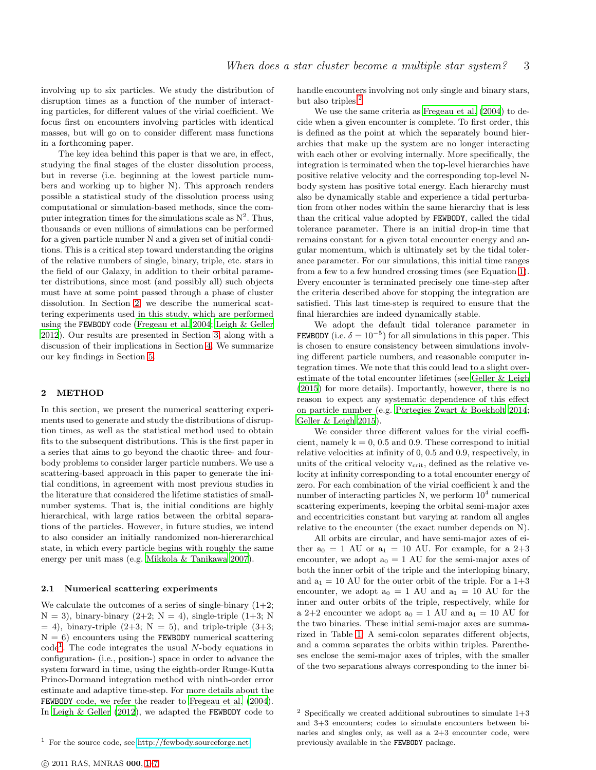involving up to six particles. We study the distribution of disruption times as a function of the number of interacting particles, for different values of the virial coefficient. We focus first on encounters involving particles with identical masses, but will go on to consider different mass functions in a forthcoming paper.

The key idea behind this paper is that we are, in effect, studying the final stages of the cluster dissolution process, but in reverse (i.e. beginning at the lowest particle numbers and working up to higher N). This approach renders possible a statistical study of the dissolution process using computational or simulation-based methods, since the computer integration times for the simulations scale as  $N^2$ . Thus, thousands or even millions of simulations can be performed for a given particle number N and a given set of initial conditions. This is a critical step toward understanding the origins of the relative numbers of single, binary, triple, etc. stars in the field of our Galaxy, in addition to their orbital parameter distributions, since most (and possibly all) such objects must have at some point passed through a phase of cluster dissolution. In Section [2,](#page-2-0) we describe the numerical scattering experiments used in this study, which are performed using the FEWBODY code [\(Fregeau et al. 2004](#page-6-15); [Leigh & Geller](#page-6-16) [2012](#page-6-16)). Our results are presented in Section [3,](#page-3-0) along with a discussion of their implications in Section [4.](#page-5-0) We summarize our key findings in Section [5.](#page-6-26)

#### <span id="page-2-0"></span>2 METHOD

In this section, we present the numerical scattering experiments used to generate and study the distributions of disruption times, as well as the statistical method used to obtain fits to the subsequent distributions. This is the first paper in a series that aims to go beyond the chaotic three- and fourbody problems to consider larger particle numbers. We use a scattering-based approach in this paper to generate the initial conditions, in agreement with most previous studies in the literature that considered the lifetime statistics of smallnumber systems. That is, the initial conditions are highly hierarchical, with large ratios between the orbital separations of the particles. However, in future studies, we intend to also consider an initially randomized non-hiererarchical state, in which every particle begins with roughly the same energy per unit mass (e.g. [Mikkola & Tanikawa 2007](#page-6-12)).

#### 2.1 Numerical scattering experiments

We calculate the outcomes of a series of single-binary  $(1+2;$  $N = 3$ ), binary-binary (2+2;  $N = 4$ ), single-triple (1+3; N  $= 4$ ), binary-triple (2+3; N = 5), and triple-triple (3+3;  $N = 6$ ) encounters using the FEWBODY numerical scattering  $\text{code}^1$  $\text{code}^1$ . The code integrates the usual N-body equations in configuration- (i.e., position-) space in order to advance the system forward in time, using the eighth-order Runge-Kutta Prince-Dormand integration method with ninth-order error estimate and adaptive time-step. For more details about the FEWBODY code, we refer the reader to Fregeau et al.  $(2004)$ . In [Leigh & Geller \(2012](#page-6-16)), we adapted the FEWBODY code to handle encounters involving not only single and binary stars, but also triples.<sup>[2](#page-2-2)</sup>

We use the same criteria as [Fregeau et al. \(2004](#page-6-15)) to decide when a given encounter is complete. To first order, this is defined as the point at which the separately bound hierarchies that make up the system are no longer interacting with each other or evolving internally. More specifically, the integration is terminated when the top-level hierarchies have positive relative velocity and the corresponding top-level Nbody system has positive total energy. Each hierarchy must also be dynamically stable and experience a tidal perturbation from other nodes within the same hierarchy that is less than the critical value adopted by FEWBODY, called the tidal tolerance parameter. There is an initial drop-in time that remains constant for a given total encounter energy and angular momentum, which is ultimately set by the tidal tolerance parameter. For our simulations, this initial time ranges from a few to a few hundred crossing times (see Equation [1\)](#page-3-1). Every encounter is terminated precisely one time-step after the criteria described above for stopping the integration are satisfied. This last time-step is required to ensure that the final hierarchies are indeed dynamically stable.

We adopt the default tidal tolerance parameter in **FEWBODY** (i.e.  $\delta = 10^{-5}$ ) for all simulations in this paper. This is chosen to ensure consistency between simulations involving different particle numbers, and reasonable computer integration times. We note that this could lead to a slight overestimate of the total encounter lifetimes (see [Geller & Leigh](#page-6-23) [\(2015](#page-6-23)) for more details). Importantly, however, there is no reason to expect any systematic dependence of this effect on particle number (e.g. [Portegies Zwart & Boekholt 2014](#page-6-27); [Geller & Leigh 2015](#page-6-23)).

We consider three different values for the virial coefficient, namely  $k = 0, 0.5$  and 0.9. These correspond to initial relative velocities at infinity of 0, 0.5 and 0.9, respectively, in units of the critical velocity  $v_{\text{crit}}$ , defined as the relative velocity at infinity corresponding to a total encounter energy of zero. For each combination of the virial coefficient k and the number of interacting particles  $N$ , we perform  $10^4$  numerical scattering experiments, keeping the orbital semi-major axes and eccentricities constant but varying at random all angles relative to the encounter (the exact number depends on N).

All orbits are circular, and have semi-major axes of either  $a_0 = 1$  AU or  $a_1 = 10$  AU. For example, for a 2+3 encounter, we adopt  $a_0 = 1$  AU for the semi-major axes of both the inner orbit of the triple and the interloping binary, and  $a_1 = 10$  AU for the outer orbit of the triple. For a  $1+3$ encounter, we adopt  $a_0 = 1$  AU and  $a_1 = 10$  AU for the inner and outer orbits of the triple, respectively, while for a 2+2 encounter we adopt  $a_0 = 1$  AU and  $a_1 = 10$  AU for the two binaries. These initial semi-major axes are summarized in Table [1.](#page-3-2) A semi-colon separates different objects, and a comma separates the orbits within triples. Parentheses enclose the semi-major axes of triples, with the smaller of the two separations always corresponding to the inner bi-

<span id="page-2-1"></span><sup>&</sup>lt;sup>1</sup> For the source code, see<http://fewbody.sourceforge.net>

<span id="page-2-2"></span><sup>&</sup>lt;sup>2</sup> Specifically we created additional subroutines to simulate  $1+3$ and 3+3 encounters; codes to simulate encounters between binaries and singles only, as well as a 2+3 encounter code, were previously available in the FEWBODY package.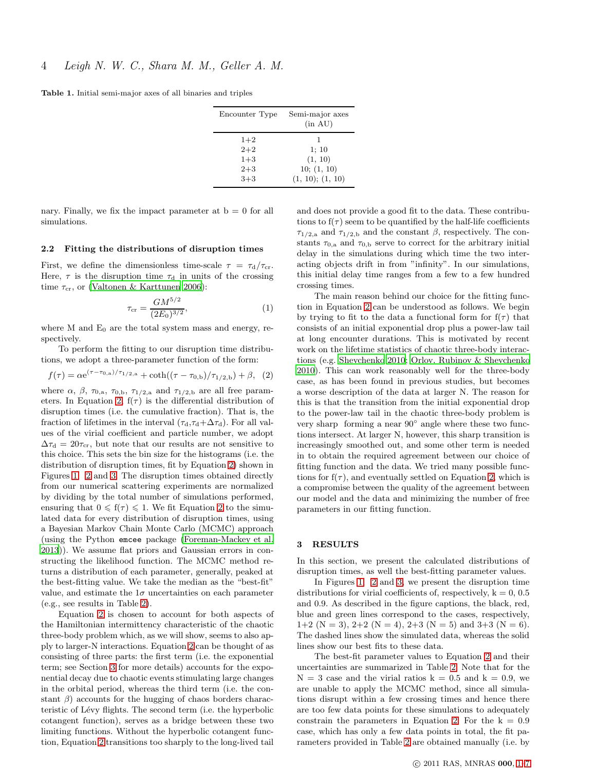<span id="page-3-2"></span>Table 1. Initial semi-major axes of all binaries and triples

| Encounter Type                                  | Semi-major axes<br>(in AU)                              |
|-------------------------------------------------|---------------------------------------------------------|
| $1+2$<br>$2 + 2$<br>$1 + 3$<br>$2 + 3$<br>$3+3$ | ı<br>1:10<br>(1, 10)<br>10; (1, 10)<br>(1, 10); (1, 10) |

nary. Finally, we fix the impact parameter at  $b = 0$  for all simulations.

#### <span id="page-3-4"></span>2.2 Fitting the distributions of disruption times

First, we define the dimensionless time-scale  $\tau = \tau_{d}/\tau_{cr}$ . Here,  $\tau$  is the disruption time  $\tau_d$  in units of the crossing time  $\tau_{cr}$ , or [\(Valtonen & Karttunen 2006](#page-6-11)):

<span id="page-3-1"></span>
$$
\tau_{\rm cr} = \frac{GM^{5/2}}{(2E_0)^{3/2}},\tag{1}
$$

where  $M$  and  $E_0$  are the total system mass and energy, respectively.

To perform the fitting to our disruption time distributions, we adopt a three-parameter function of the form:

<span id="page-3-3"></span>
$$
f(\tau) = \alpha e^{(\tau - \tau_{0,b})/\tau_{1/2,a}} + \coth((\tau - \tau_{0,b})/\tau_{1/2,b}) + \beta, (2)
$$

where  $\alpha$ ,  $\beta$ ,  $\tau_{0,a}$ ,  $\tau_{0,b}$ ,  $\tau_{1/2,a}$  and  $\tau_{1/2,b}$  are all free param-eters. In Equation [2,](#page-3-3)  $f(\tau)$  is the differential distribution of disruption times (i.e. the cumulative fraction). That is, the fraction of lifetimes in the interval  $(\tau_d, \tau_d + \Delta \tau_d)$ . For all values of the virial coefficient and particle number, we adopt  $\Delta \tau_{\rm d} = 20 \tau_{\rm cr}$ , but note that our results are not sensitive to this choice. This sets the bin size for the histograms (i.e. the distribution of disruption times, fit by Equation [2\)](#page-3-3) shown in Figures [1,](#page-4-0) [2](#page-4-1) and [3.](#page-4-2) The disruption times obtained directly from our numerical scattering experiments are normalized by dividing by the total number of simulations performed, ensuring that  $0 \leq f(\tau) \leq 1$ . We fit Equation [2](#page-3-3) to the simulated data for every distribution of disruption times, using a Bayesian Markov Chain Monte Carlo (MCMC) approach (using the Python emcee package [\(Foreman-Mackey et al.](#page-6-28) [2013](#page-6-28))). We assume flat priors and Gaussian errors in constructing the likelihood function. The MCMC method returns a distribution of each parameter, generally, peaked at the best-fitting value. We take the median as the "best-fit" value, and estimate the  $1\sigma$  uncertainties on each parameter (e.g., see results in Table [2\)](#page-5-1).

Equation [2](#page-3-3) is chosen to account for both aspects of the Hamiltonian intermittency characteristic of the chaotic three-body problem which, as we will show, seems to also apply to larger-N interactions. Equation [2](#page-3-3) can be thought of as consisting of three parts: the first term (i.e. the exponential term; see Section [3](#page-3-0) for more details) accounts for the exponential decay due to chaotic events stimulating large changes in the orbital period, whereas the third term (i.e. the constant  $\beta$ ) accounts for the hugging of chaos borders characteristic of Lévy flights. The second term (i.e. the hyperbolic cotangent function), serves as a bridge between these two limiting functions. Without the hyperbolic cotangent function, Equation [2](#page-3-3) transitions too sharply to the long-lived tail and does not provide a good fit to the data. These contributions to  $f(\tau)$  seem to be quantified by the half-life coefficients  $\tau_{1/2,a}$  and  $\tau_{1/2,b}$  and the constant  $\beta$ , respectively. The constants  $\tau_{0,a}$  and  $\tau_{0,b}$  serve to correct for the arbitrary initial delay in the simulations during which time the two interacting objects drift in from "infinity". In our simulations, this initial delay time ranges from a few to a few hundred crossing times.

The main reason behind our choice for the fitting function in Equation [2](#page-3-3) can be understood as follows. We begin by trying to fit to the data a functional form for  $f(\tau)$  that consists of an initial exponential drop plus a power-law tail at long encounter durations. This is motivated by recent work on the lifetime statistics of chaotic three-body interactions (e.g. [Shevchenko 2010](#page-6-13); [Orlov, Rubinov & Shevchenko](#page-6-14) [2010](#page-6-14)). This can work reasonably well for the three-body case, as has been found in previous studies, but becomes a worse description of the data at larger N. The reason for this is that the transition from the initial exponential drop to the power-law tail in the chaotic three-body problem is very sharp forming a near 90<sup>°</sup> angle where these two functions intersect. At larger N, however, this sharp transition is increasingly smoothed out, and some other term is needed in to obtain the required agreement between our choice of fitting function and the data. We tried many possible functions for  $f(\tau)$ , and eventually settled on Equation [2,](#page-3-3) which is a compromise between the quality of the agreement between our model and the data and minimizing the number of free parameters in our fitting function.

## <span id="page-3-0"></span>3 RESULTS

In this section, we present the calculated distributions of disruption times, as well the best-fitting parameter values.

In Figures [1,](#page-4-0) [2](#page-4-1) and [3,](#page-4-2) we present the disruption time distributions for virial coefficients of, respectively,  $k = 0, 0.5$ and 0.9. As described in the figure captions, the black, red, blue and green lines correspond to the cases, respectively, 1+2 (N = 3), 2+2 (N = 4), 2+3 (N = 5) and 3+3 (N = 6). The dashed lines show the simulated data, whereas the solid lines show our best fits to these data.

The best-fit parameter values to Equation [2](#page-3-3) and their uncertainties are summarized in Table [2.](#page-5-1) Note that for the  $N = 3$  case and the virial ratios  $k = 0.5$  and  $k = 0.9$ , we are unable to apply the MCMC method, since all simulations disrupt within a few crossing times and hence there are too few data points for these simulations to adequately constrain the parameters in Equation [2.](#page-3-3) For the  $k = 0.9$ case, which has only a few data points in total, the fit parameters provided in Table [2](#page-5-1) are obtained manually (i.e. by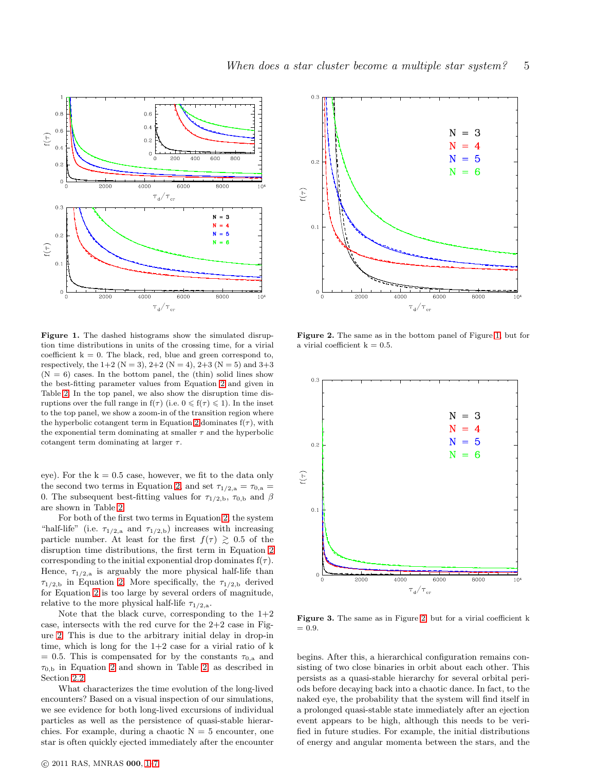

<span id="page-4-0"></span>Figure 1. The dashed histograms show the simulated disruption time distributions in units of the crossing time, for a virial coefficient  $k = 0$ . The black, red, blue and green correspond to, respectively, the  $1+2$  (N = 3),  $2+2$  (N = 4),  $2+3$  (N = 5) and  $3+3$  $(N = 6)$  cases. In the bottom panel, the (thin) solid lines show the best-fitting parameter values from Equation [2](#page-3-3) and given in Table [2.](#page-5-1) In the top panel, we also show the disruption time disruptions over the full range in  $f(\tau)$  (i.e.  $0 \leq f(\tau) \leq 1$ ). In the inset to the top panel, we show a zoom-in of the transition region where the hyperbolic cotangent term in Equation [2](#page-3-3) dominates  $f(\tau)$ , with the exponential term dominating at smaller  $\tau$  and the hyperbolic cotangent term dominating at larger  $\tau$ .

eye). For the  $k = 0.5$  case, however, we fit to the data only the second two terms in Equation [2,](#page-3-3) and set  $\tau_{1/2,a} = \tau_{0,a}$ 0. The subsequent best-fitting values for  $\tau_{1/2,b}$ ,  $\tau_{0,b}$  and  $\beta$ are shown in Table [2.](#page-5-1)

For both of the first two terms in Equation [2,](#page-3-3) the system "half-life" (i.e.  $\tau_{1/2,a}$  and  $\tau_{1/2,b}$ ) increases with increasing particle number. At least for the first  $f(\tau) \geq 0.5$  of the disruption time distributions, the first term in Equation [2](#page-3-3) corresponding to the initial exponential drop dominates  $f(\tau)$ . Hence,  $\tau_{1/2,a}$  is arguably the more physical half-life than  $\tau_{1/2,b}$  in Equation [2.](#page-3-3) More specifically, the  $\tau_{1/2,b}$  derived for Equation [2](#page-3-3) is too large by several orders of magnitude, relative to the more physical half-life  $\tau_{1/2,a}$ .

Note that the black curve, corresponding to the  $1+2$ case, intersects with the red curve for the  $2+2$  case in Figure [2.](#page-4-1) This is due to the arbitrary initial delay in drop-in time, which is long for the  $1+2$  case for a virial ratio of  $k$  $= 0.5$ . This is compensated for by the constants  $\tau_{0,a}$  and  $\tau_{0,b}$  in Equation [2](#page-3-3) and shown in Table [2,](#page-5-1) as described in Section [2.2.](#page-3-4)

What characterizes the time evolution of the long-lived encounters? Based on a visual inspection of our simulations, we see evidence for both long-lived excursions of individual particles as well as the persistence of quasi-stable hierarchies. For example, during a chaotic  $N = 5$  encounter, one star is often quickly ejected immediately after the encounter



<span id="page-4-1"></span>Figure 2. The same as in the bottom panel of Figure [1,](#page-4-0) but for a virial coefficient  $k = 0.5$ .



<span id="page-4-2"></span>Figure 3. The same as in Figure [2,](#page-4-1) but for a virial coefficient k  $= 0.9.$ 

begins. After this, a hierarchical configuration remains consisting of two close binaries in orbit about each other. This persists as a quasi-stable hierarchy for several orbital periods before decaying back into a chaotic dance. In fact, to the naked eye, the probability that the system will find itself in a prolonged quasi-stable state immediately after an ejection event appears to be high, although this needs to be verified in future studies. For example, the initial distributions of energy and angular momenta between the stars, and the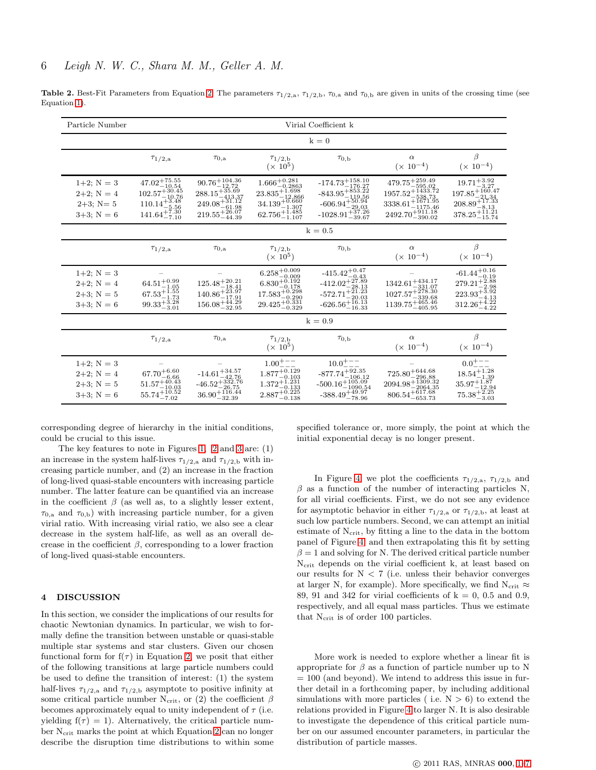<span id="page-5-1"></span>

| Particle Number                                                      |                                                                                                                 |                                                                                                                                            |                                                                                                                       | Virial Coefficient k                                                                                                             |                                                                                                                                    |                                                                                                                    |  |
|----------------------------------------------------------------------|-----------------------------------------------------------------------------------------------------------------|--------------------------------------------------------------------------------------------------------------------------------------------|-----------------------------------------------------------------------------------------------------------------------|----------------------------------------------------------------------------------------------------------------------------------|------------------------------------------------------------------------------------------------------------------------------------|--------------------------------------------------------------------------------------------------------------------|--|
|                                                                      | $k=0$                                                                                                           |                                                                                                                                            |                                                                                                                       |                                                                                                                                  |                                                                                                                                    |                                                                                                                    |  |
|                                                                      | $\tau_{1/2, a}$                                                                                                 | $\tau_{0,a}$                                                                                                                               | $\tau_{1/2,b}$<br>$(x 10^5)$                                                                                          | $\tau_{0,b}$                                                                                                                     | $\alpha$<br>$(x 10^{-4})$                                                                                                          | $\beta$<br>$(x 10^{-4})$                                                                                           |  |
| $1+2; N = 3$<br>$2+2$ ; N = 4<br>$2+3$ ; N= 5<br>$3+3$ ; N = 6       | $47.02^{+75.55}_{-10.54}$<br>$102.57^{+30.45}_{-10.76}$<br>$110.14_{-5.56}^{+3.48}$<br>$141.64\overline{+7.30}$ | $\begin{array}{l} 90.76_{-12.72}^{+104.36}\\ 288.15_{-413.37}^{+35.69}\\ 249.08_{-61.198}^{+31.12}\\ 219.55_{-44.39}^{+26.07} \end{array}$ | $1.666^{+0.281}_{-0.2863}$<br>$23.835_{-12.866}^{+1.698}$<br>$34.139^{+0.660}_{-1.307}$<br>$62.756^{+1.485}_{-1.107}$ | $-174.73^{+158.10}_{-176.27}$<br>$-843.95^{+853.22}_{-119.56}$<br>$-606.94^{+50.94}_{-29.03}$<br>$-1028.91^{+37.26}_{-39.67}$    | $479.75^{+259.49}_{-595.02}$<br>$1957.52^{+1433.72}_{-538.73}$<br>$3338.61^{+1671.95}_{-1175.46}$<br>$2492.70_{-390.02}^{+911.18}$ | $19.71_{-3.27}^{+3.92}$<br>$197.85^{+160.47}_{-21.34}$<br>$208.89^{+17.33}_{-8.13}$<br>$378.25^{+11.21}_{-15.74}$  |  |
|                                                                      | $k = 0.5$                                                                                                       |                                                                                                                                            |                                                                                                                       |                                                                                                                                  |                                                                                                                                    |                                                                                                                    |  |
|                                                                      | $\tau_{1/2,a}$                                                                                                  | $\tau_{0,a}$                                                                                                                               | $\tau_{1/2,\rm b}$<br>$(x 10^5)$                                                                                      | $\tau_{0,b}$                                                                                                                     | $\alpha$<br>$(x 10^{-4})$                                                                                                          | β<br>$(x 10^{-4})$                                                                                                 |  |
| $1+2; N = 3$<br>$2+2; N = 4$<br>$2+3$ ; N = 5<br>$3+3; N = 6$        | $64.51^{+0.99}_{-1.05}$<br>$67.53_{-1.73}^{+1.55}$<br>$99.33_{-3.01}^{+3.28}$                                   | $125.48^{+20.21}_{-18.41}$<br>$140.86_{-17.91}^{+23.97}$<br>$156.08_{-32.95}^{+44.29}$                                                     | $6.258^{+0.009}_{-0.009}$<br>$6.830^{+0.192}_{-0.178}$<br>$17.583_{-0.290}^{+0.298}$<br>$29.425_{-0.329}^{+0.331}$    | $-415.42^{+0.47}_{-0.43}$<br>$-412.02_{-28.13}^{+27.89}$<br>$-572.71_{-20.03}^{+20.123}_{-20.03}$<br>$-626.56_{-16.33}^{+16.13}$ | $1342.61^{+434.17}_{-331.07}$<br>$1027.57^{+278.30}_{-339.68}$<br>$1139.75_{-405.95}^{+465.46}$                                    | $\substack{+61.44_{-0.19}^{+0.16}\\279.21_{-2.98}^{+2.88}}$<br>$223.93_{-4.13}^{+3.92}$<br>312.26 <sup>+4.22</sup> |  |
|                                                                      | $k = 0.9$                                                                                                       |                                                                                                                                            |                                                                                                                       |                                                                                                                                  |                                                                                                                                    |                                                                                                                    |  |
|                                                                      | $\tau_{1/2,a}$                                                                                                  | $\tau_{0,a}$                                                                                                                               | $\tau_{1/2,\rm b}$<br>$(\times 10^5)$                                                                                 | $\tau_{0,b}$                                                                                                                     | $\alpha$<br>$(x 10^{-4})$                                                                                                          | $\beta$<br>$(x 10^{-4})$                                                                                           |  |
| $1+2$ ; $N = 3$<br>$2+2$ ; $N = 4$<br>$2+3$ ; N = 5<br>$3+3$ ; N = 6 | $67.70^{+6.60}_{-6.66}$<br>$51.57^{+40.43}_{-10.03}$<br>$55.74\substack{+10.52 \\ -7.02}$                       | $-14.61_{-42.76}^{+34.57}$<br>$-46.52^{+332.76}_{-26.75}$<br>$36.90\substack{+116.44 \\ -32.39}$                                           | $1.00^{+ \,--}$<br>$1.877^{+0.129}_{-0.103}$<br>$\substack{+1.231 \\ -0.133 \\ 2.887_{-0.138}^{+0.225}}$              | $10.0^{+ - -}$<br>$-877.74^{+92.35}_{-106.12}$<br>$-500.16_{-1090.54}^{+105.09}$<br>$-388.49^{+49.97}_{-78.96}$                  | $725.80^{+644.68}_{-296.88}$<br>$2094.98 + \frac{1309.32}{2064.35}$<br>$806.54_{-653.73}^{+617.68}$                                | $0.0^{+ - -}$<br>$18.54_{-1.39}^{+1.28}$<br>$35.97^{+1.87}_{-12.94}$<br>$75.38_{-3.03}^{+2.25}$                    |  |

**Table [2.](#page-3-3)** Best-Fit Parameters from Equation 2. The parameters  $\tau_{1/2,a}$ ,  $\tau_{1/2,b}$ ,  $\tau_{0,a}$  and  $\tau_{0,b}$  are given in units of the crossing time (see Equation [1\)](#page-3-1).

corresponding degree of hierarchy in the initial conditions, could be crucial to this issue.

The key features to note in Figures [1,](#page-4-0) [2](#page-4-1) and [3](#page-4-2) are: (1) an increase in the system half-lives  $\tau_{1/2,a}$  and  $\tau_{1/2,b}$  with increasing particle number, and (2) an increase in the fraction of long-lived quasi-stable encounters with increasing particle number. The latter feature can be quantified via an increase in the coefficient  $\beta$  (as well as, to a slightly lesser extent,  $\tau_{0,a}$  and  $\tau_{0,b}$ ) with increasing particle number, for a given virial ratio. With increasing virial ratio, we also see a clear decrease in the system half-life, as well as an overall decrease in the coefficient  $\beta$ , corresponding to a lower fraction of long-lived quasi-stable encounters.

#### <span id="page-5-0"></span>4 DISCUSSION

In this section, we consider the implications of our results for chaotic Newtonian dynamics. In particular, we wish to formally define the transition between unstable or quasi-stable multiple star systems and star clusters. Given our chosen functional form for  $f(\tau)$  in Equation [2,](#page-3-3) we posit that either of the following transitions at large particle numbers could be used to define the transition of interest: (1) the system half-lives  $\tau_{1/2,a}$  and  $\tau_{1/2,b}$  asymptote to positive infinity at some critical particle number N<sub>crit</sub>, or (2) the coefficient  $\beta$ becomes approximately equal to unity independent of  $\tau$  (i.e. yielding  $f(\tau) = 1$ ). Alternatively, the critical particle number Ncrit marks the point at which Equation [2](#page-3-3) can no longer describe the disruption time distributions to within some specified tolerance or, more simply, the point at which the initial exponential decay is no longer present.

In Figure [4,](#page-6-29) we plot the coefficients  $\tau_{1/2,a}$ ,  $\tau_{1/2,b}$  and  $\beta$  as a function of the number of interacting particles N, for all virial coefficients. First, we do not see any evidence for asymptotic behavior in either  $\tau_{1/2,a}$  or  $\tau_{1/2,b}$ , at least at such low particle numbers. Second, we can attempt an initial estimate of N<sub>crit</sub>, by fitting a line to the data in the bottom panel of Figure [4,](#page-6-29) and then extrapolating this fit by setting  $\beta = 1$  and solving for N. The derived critical particle number  $N_{\rm crit}$  depends on the virial coefficient k, at least based on our results for  $N < 7$  (i.e. unless their behavior converges at larger N, for example). More specifically, we find  $N_{\rm crit} \approx$ 89, 91 and 342 for virial coefficients of  $k = 0$ , 0.5 and 0.9, respectively, and all equal mass particles. Thus we estimate that  $N<sub>crit</sub>$  is of order 100 particles.

More work is needed to explore whether a linear fit is appropriate for  $\beta$  as a function of particle number up to N  $= 100$  (and beyond). We intend to address this issue in further detail in a forthcoming paper, by including additional simulations with more particles (i.e.  $N > 6$ ) to extend the relations provided in Figure [4](#page-6-29) to larger N. It is also desirable to investigate the dependence of this critical particle number on our assumed encounter parameters, in particular the distribution of particle masses.